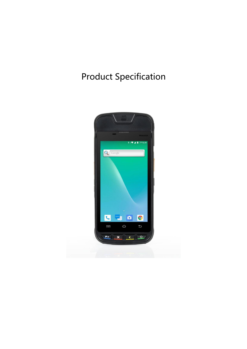# Product Specification

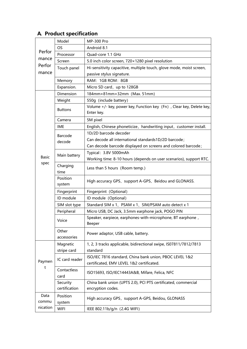|                 | Model                | <b>MP-300 Pro</b>                                                                  |  |
|-----------------|----------------------|------------------------------------------------------------------------------------|--|
|                 | <b>OS</b>            | Android 8.1                                                                        |  |
| Perfor<br>mance | Processor            | Quad-core 1.1 GHz                                                                  |  |
|                 | Screen               | 5.0 inch color screen, 720×1280 pixel resolution                                   |  |
| Perfor          | Touch panel          | Hi-sensitivity capacitive, multiple touch, glove mode, moist screen,               |  |
| mance           |                      | passive stylus signature.                                                          |  |
|                 | Memory               | RAM: 1GB ROM: 8GB                                                                  |  |
|                 | Expansion.           | Micro SD card, up to 128GB                                                         |  |
|                 | Dimension            | 184mm×81mm×32mm (Max. 51mm)                                                        |  |
|                 | Weight               | 550g (include battery)                                                             |  |
|                 | <b>Buttons</b>       | Volume +/- key, power key, Function key (Fn), Clear key, Delete key,<br>Enter key. |  |
|                 | Camera               | 5M pixel                                                                           |  |
|                 | <b>IME</b>           | English, Chinese phoneticize, handwriting input, customer install.                 |  |
|                 | Barcode              | 1D/2D barcode decoder                                                              |  |
|                 | decode               | Can decode all international standards1D/2D barcode;                               |  |
|                 |                      | Can decode barcode displayed on screens and colored barcode;                       |  |
|                 |                      | Typical: 3.8V 5000mAh                                                              |  |
| <b>Basic</b>    | Main battery         | Working time: 8-10 hours (depends on user scenarios), support RTC.                 |  |
| spec            | Charging<br>time     | Less than 5 hours (Room temp.)                                                     |  |
|                 | Position<br>system   | High accuracy GPS, support A-GPS, Beidou and GLONASS.                              |  |
|                 | Fingerprint          | Fingerprint (Optional)                                                             |  |
|                 | ID module            | ID module (Optional)                                                               |  |
|                 | SIM slot type        | Standard SIM x 1、PSAM x 1、SIM/PSAM auto detect x 1                                 |  |
|                 | Peripheral           | Micro USB, DC Jack, 3.5mm earphone jack, POGO PIN                                  |  |
|                 | Voice                | Speaker, earpiece, earphones-with-microphone, BT earphone,<br>Beeper               |  |
|                 | Other<br>accessories | Power adaptor, USB cable, battery.                                                 |  |
|                 | Magnetic             | 1, 2, 3 tracks applicable, bidirectional swipe, IS07811/7812/7813                  |  |
|                 | stripe card          | standard                                                                           |  |
| Paymen<br>t     | IC card reader       | ISO/IEC 7816 standard, China bank union, PBOC LEVEL 1&2                            |  |
|                 |                      | certificated, EMV LEVEL 1&2 certificated.                                          |  |
|                 | Contactless<br>card  | ISO15693, ISO/IEC14443A&B, Mifare, Felica, NFC                                     |  |
|                 | Security             | China bank union (UPTS 2.0), PCI PTS certificated, commercial                      |  |
|                 | certification        | encryption codes.                                                                  |  |
| Data<br>commu   | Position<br>system   | High accuracy GPS, support A-GPS, Beidou, GLONASS                                  |  |
| nication        | <b>WIFI</b>          | IEEE 802.11b/g/n (2.4G WIFI)                                                       |  |

# **A. Product specification**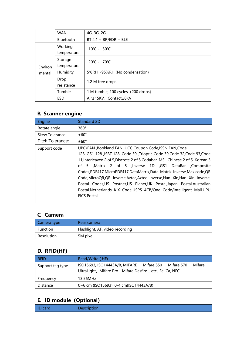|         | <b>WAN</b>             | 4G, 3G, 2G                         |  |
|---------|------------------------|------------------------------------|--|
|         | <b>Bluetooth</b>       | $BT 4.1 + BR/EDR + BLE$            |  |
|         | Working<br>temperature | $-10^{\circ}$ C ~ 50 $^{\circ}$ C  |  |
| Environ | Storage<br>temperature | $-20^{\circ}$ C ~ 70 $^{\circ}$ C  |  |
| mental  | Humidity               | 5%RH~95%RH (No condensation)       |  |
|         | Drop<br>resistance     | 1.2 M free drops                   |  |
|         | Tumble                 | 1 M tumble, 100 cycles (200 drops) |  |
|         | <b>ESD</b>             | Air±15KV, Contact±8KV              |  |

# **B. Scanner engine**

| Engine           | <b>Standard 2D</b>                                                                                                                                                                                                                                                                                                                                                                                                                                                                                                                                                                                                            |
|------------------|-------------------------------------------------------------------------------------------------------------------------------------------------------------------------------------------------------------------------------------------------------------------------------------------------------------------------------------------------------------------------------------------------------------------------------------------------------------------------------------------------------------------------------------------------------------------------------------------------------------------------------|
| Rotate angle     | $360^\circ$                                                                                                                                                                                                                                                                                                                                                                                                                                                                                                                                                                                                                   |
| Skew Tolerance:  | $±60^{\circ}$                                                                                                                                                                                                                                                                                                                                                                                                                                                                                                                                                                                                                 |
| Pitch Tolerance: | $±60^{\circ}$                                                                                                                                                                                                                                                                                                                                                                                                                                                                                                                                                                                                                 |
| Support code     | UPC/EAN , Bookland EAN , UCC Coupon Code, ISSN EAN, Code<br>128, GS1-128, ISBT 128, Code 39, Trioptic Code 39, Code 32, Code 93, Code<br>11, Interleaved 2 of 5, Discrete 2 of 5, Codabar, MSI, Chinese 2 of 5, Korean 3<br>of 5 , Matrix 2 of 5 , Inverse 1D , GS1 DataBar , Composite<br>Codes, PDF417, MicroPDF417, DataMatrix, Data Matrix Inverse, Maxicode, QR<br>Code, MicroQR, QR Inverse, Aztec, Aztec Inverse, Han Xin, Han Xin Inverse,<br>Postal Codes, US Postnet, US Planet, UK Postal, Japan Postal, Australian<br>Postal, Netherlands KIX Code, USPS 4CB/One Code/Intelligent Mail, UPU<br><b>FICS Postal</b> |

# **C. Camera**

| Camera type | Rear camera                     |
|-------------|---------------------------------|
| Function    | Flashlight, AF, video recording |
| Resolution  | 5M pixel                        |

#### **D. RFID(HF)**

| <b>RFID</b>      | Read/Write (HF)                                                                                                              |
|------------------|------------------------------------------------------------------------------------------------------------------------------|
| Support tag type | ISO15693, ISO14443A/B, MIFARE: Mifare S50, Mifare S70,<br>Mifare<br>UltraLight, Mifare Pro, Mifare Desfire etc., FeliCa, NFC |
| Frequency        | 13.56MHz                                                                                                                     |
| Distance         | 0~6 cm (ISO15693), 0-4 cm(ISO14443A/B)                                                                                       |

# **E. ID module(Optional)**

| <b>ID</b> card | Description |
|----------------|-------------|
|                |             |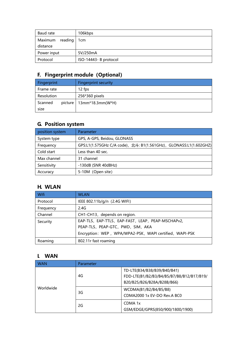| Baud rate                          | 106kbps               |
|------------------------------------|-----------------------|
| Maximum<br>reading 1cm<br>distance |                       |
| Power input                        | 5V/250mA              |
| Protocol                           | ISO-14443- B protocol |

# **F. Fingerprint module(Optional)**

| Fingerprint |         | <b>Fingerprint security</b> |
|-------------|---------|-----------------------------|
| Frame rate  |         | 12 fps                      |
| Resolution  |         | 256*360 pixels              |
| Scanned     | picture | 13mm*18.3mm(W*H)            |
| size        |         |                             |

# **G. Position system**

| position system | Parameter                                                         |
|-----------------|-------------------------------------------------------------------|
| System type     | GPS, A-GPS, Beidou, GLONASS                                       |
| Frequency       | GPS:L1(1.575GHz C/A code), 北斗: B1(1.561GHz), GLONASS:L1(1.602GHZ) |
| Cold start      | Less than 40 sec.                                                 |
| Max channel     | 31 channel                                                        |
| Sensitivity     | $-130dB$ (SNR 40dBHz)                                             |
| Accuracy        | 5-10M (Open site)                                                 |

# **H. WLAN**

| Wifi      | <b>WLAN</b>                                             |
|-----------|---------------------------------------------------------|
| Protocol  | IEEE 802.11b/g/n (2.4G WIFI)                            |
| Frequency | 2.4G                                                    |
| Channel   | CH1-CH13, depends on region.                            |
| Security  | EAP-TLS, EAP-TTLS, EAP-FAST, LEAP, PEAP-MSCHAPv2,       |
|           | PEAP-TLS, PEAP-GTC, PWD, SIM, AKA                       |
|           | Encryption: WEP, WPA/WPA2-PSK, WAPI certified, WAPI-PSK |
| Roaming   | 802.11r fast roaming                                    |

## **I. WAN**

| WAN       | Parameter |                                                                                                        |
|-----------|-----------|--------------------------------------------------------------------------------------------------------|
|           | 4G        | TD-LTE(B34/B38/B39/B40/B41)<br>FDD-LTE(B1/B2/B3/B4/B5/B7/B8/B12/B17/B19/<br>B20/B25/B26/B28A/B28B/B66) |
| Worldwide | 3G        | WCDMA(B1/B2/B4/B5/B8)<br>CDMA2000 1x EV-DO Rev.A BC0                                                   |
|           | 2G        | CDMA 1x<br>GSM/EDGE/GPRS(850/900/1800/1900)                                                            |